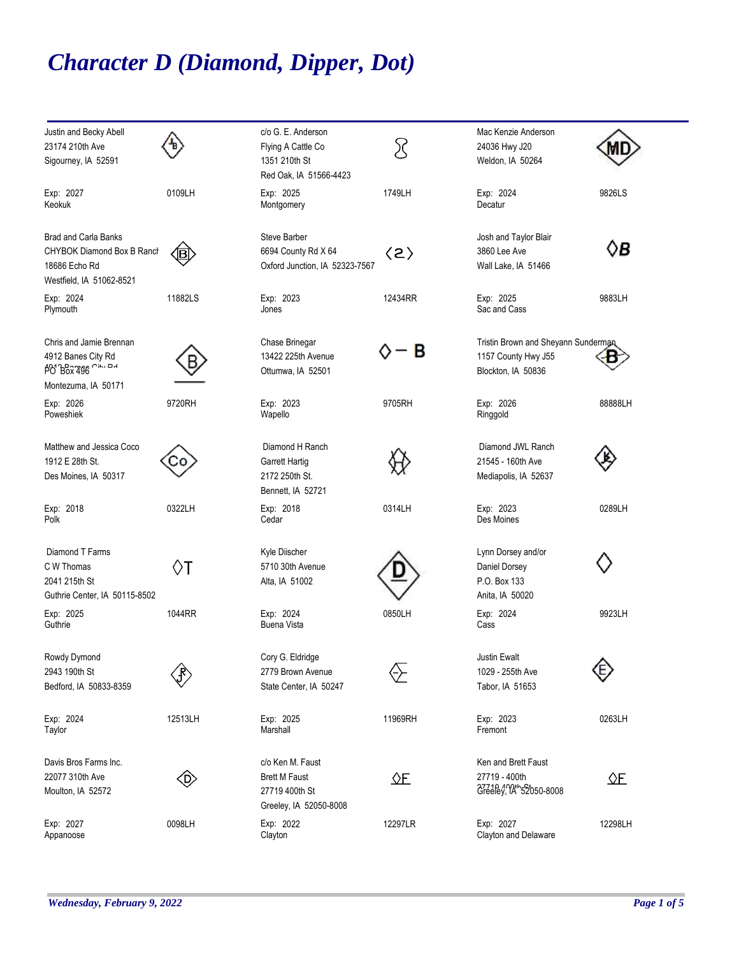## *Character D (Diamond, Dipper, Dot)*

| Justin and Becky Abell        |                         | c/o G. E. Anderson             |                     | Mac Kenzie Anderson                 |            |
|-------------------------------|-------------------------|--------------------------------|---------------------|-------------------------------------|------------|
| 23174 210th Ave               |                         | Flying A Cattle Co             | R                   | 24036 Hwy J20                       |            |
| Sigourney, IA 52591           |                         | 1351 210th St                  |                     | Weldon, IA 50264                    | Ŵ.         |
|                               |                         | Red Oak, IA 51566-4423         |                     |                                     |            |
| Exp: 2027                     | 0109LH                  | Exp: 2025                      | 1749LH              | Exp: 2024                           | 9826LS     |
| Keokuk                        |                         | Montgomery                     |                     | Decatur                             |            |
| <b>Brad and Carla Banks</b>   |                         | Steve Barber                   |                     | Josh and Taylor Blair               |            |
| CHYBOK Diamond Box B Ranch    | $\mathbf{\overline{B}}$ | 6694 County Rd X 64            | $\langle 2 \rangle$ | 3860 Lee Ave                        | ◊B         |
| 18686 Echo Rd                 |                         | Oxford Junction, IA 52323-7567 |                     | Wall Lake, IA 51466                 |            |
| Westfield, IA 51062-8521      |                         |                                |                     |                                     |            |
| Exp: 2024                     | 11882LS                 | Exp: 2023                      | 12434RR             | Exp: 2025                           | 9883LH     |
| Plymouth                      |                         | Jones                          |                     | Sac and Cass                        |            |
| Chris and Jamie Brennan       |                         | Chase Brinegar                 |                     | Tristin Brown and Sheyann Sunderman |            |
| 4912 Banes City Rd            |                         | 13422 225th Avenue             | B                   | 1157 County Hwy J55                 |            |
| <b>PO</b> Box 496 City DA     |                         | Ottumwa, IA 52501              |                     | Blockton, IA 50836                  |            |
| Montezuma, IA 50171           |                         |                                |                     |                                     |            |
| Exp: 2026                     | 9720RH                  | Exp: 2023                      | 9705RH              | Exp: 2026                           | 88888LH    |
| Poweshiek                     |                         | Wapello                        |                     | Ringgold                            |            |
| Matthew and Jessica Coco      |                         | Diamond H Ranch                |                     | Diamond JWL Ranch                   |            |
| 1912 E 28th St.               | -0                      | <b>Garrett Hartig</b>          |                     | 21545 - 160th Ave                   |            |
| Des Moines, IA 50317          |                         | 2172 250th St.                 |                     | Mediapolis, IA 52637                |            |
|                               |                         | Bennett, IA 52721              |                     |                                     |            |
| Exp: 2018                     | 0322LH                  | Exp: 2018                      | 0314LH              | Exp: 2023                           | 0289LH     |
| Polk                          |                         | Cedar                          |                     | Des Moines                          |            |
| Diamond T Farms               |                         | Kyle Diischer                  |                     | Lynn Dorsey and/or                  |            |
| C W Thomas                    | ♦T                      | 5710 30th Avenue               |                     | Daniel Dorsey                       |            |
| 2041 215th St                 |                         | Alta, IA 51002                 |                     | P.O. Box 133                        |            |
| Guthrie Center, IA 50115-8502 |                         |                                |                     | Anita, IA 50020                     |            |
| Exp: 2025                     | 1044RR                  | Exp: 2024                      | 0850LH              | Exp: 2024                           | 9923LH     |
| Guthrie                       |                         | <b>Buena Vista</b>             |                     | Cass                                |            |
| Rowdy Dymond                  |                         | Cory G. Eldridge               |                     | Justin Ewalt                        |            |
| 2943 190th St                 |                         | 2779 Brown Avenue              | ⇦                   | 1029 - 255th Ave                    | Œ)         |
| Bedford, IA 50833-8359        |                         | State Center, IA 50247         |                     | Tabor, IA 51653                     |            |
| Exp: 2024                     | 12513LH                 | Exp: 2025                      | 11969RH             | Exp: 2023                           | 0263LH     |
| Taylor                        |                         | Marshall                       |                     | Fremont                             |            |
| Davis Bros Farms Inc.         |                         | c/o Ken M. Faust               |                     | Ken and Brett Faust                 |            |
| 22077 310th Ave               | $\langle$ D)            | <b>Brett M Faust</b>           |                     | 27719 - 400th                       | $\Delta E$ |
| Moulton, IA 52572             |                         | 27719 400th St                 |                     | 37710 400+52050-8008                |            |
|                               |                         | Greeley, IA 52050-8008         |                     |                                     |            |
| Exp: 2027                     | 0098LH                  | Exp: 2022                      | 12297LR             | Exp: 2027                           | 12298LH    |
| Appanoose                     |                         | Clayton                        |                     | Clayton and Delaware                |            |
|                               |                         |                                |                     |                                     |            |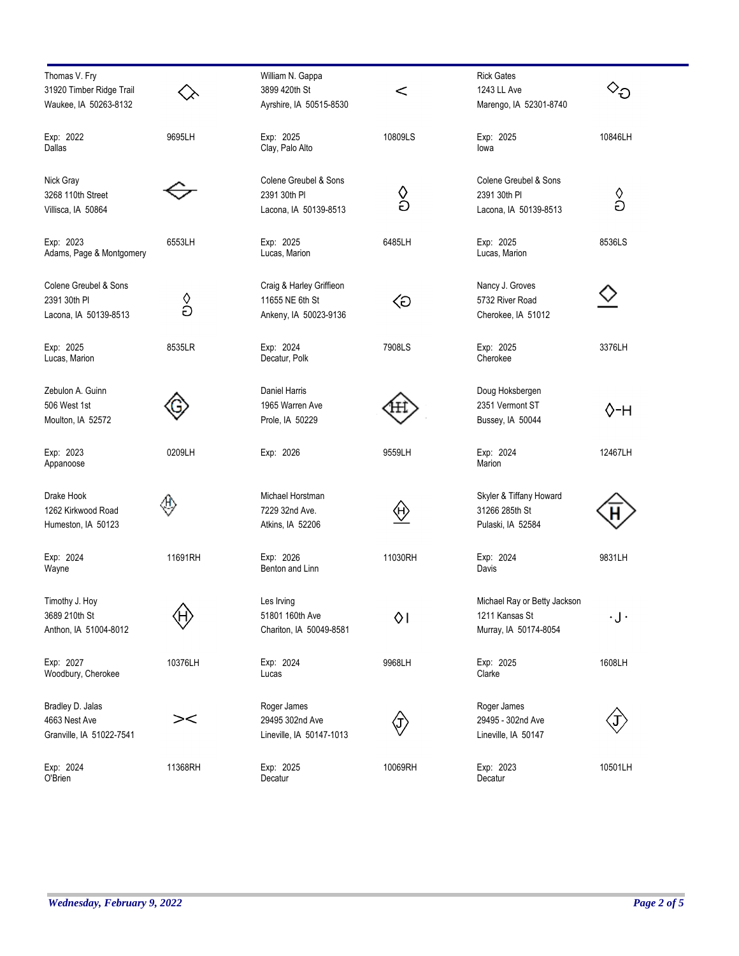| Thomas V. Fry            |         | William N. Gappa         |         | <b>Rick Gates</b>            |                                 |
|--------------------------|---------|--------------------------|---------|------------------------------|---------------------------------|
| 31920 Timber Ridge Trail |         | 3899 420th St            | $\,<$   | 1243 LL Ave                  | $\scriptstyle\mathtt{\sim_{D}}$ |
| Waukee, IA 50263-8132    |         | Ayrshire, IA 50515-8530  |         | Marengo, IA 52301-8740       |                                 |
|                          |         |                          |         |                              |                                 |
| Exp: 2022                | 9695LH  | Exp: 2025                | 10809LS | Exp: 2025                    | 10846LH                         |
| Dallas                   |         | Clay, Palo Alto          |         | lowa                         |                                 |
|                          |         | Colene Greubel & Sons    |         |                              |                                 |
| Nick Gray                |         |                          |         | Colene Greubel & Sons        |                                 |
| 3268 110th Street        |         | 2391 30th PI             | လ<br>၁  | 2391 30th PI                 | $\frac{\Diamond}{\partial}$     |
| Villisca, IA 50864       |         | Lacona, IA 50139-8513    |         | Lacona, IA 50139-8513        |                                 |
| Exp: 2023                | 6553LH  | Exp: 2025                | 6485LH  | Exp: 2025                    | 8536LS                          |
| Adams, Page & Montgomery |         | Lucas, Marion            |         | Lucas, Marion                |                                 |
|                          |         |                          |         |                              |                                 |
| Colene Greubel & Sons    |         | Craig & Harley Griffieon |         | Nancy J. Groves              |                                 |
| 2391 30th PI             | ပို     | 11655 NE 6th St          | ⊲       | 5732 River Road              |                                 |
| Lacona, IA 50139-8513    |         | Ankeny, IA 50023-9136    |         | Cherokee, IA 51012           |                                 |
| Exp: 2025                | 8535LR  | Exp: 2024                | 7908LS  | Exp: 2025                    | 3376LH                          |
| Lucas, Marion            |         | Decatur, Polk            |         | Cherokee                     |                                 |
|                          |         |                          |         |                              |                                 |
| Zebulon A. Guinn         |         | Daniel Harris            |         | Doug Hoksbergen              |                                 |
| 506 West 1st             |         | 1965 Warren Ave          |         | 2351 Vermont ST              | 0-н                             |
| Moulton, IA 52572        |         | Prole, IA 50229          |         | Bussey, IA 50044             |                                 |
| Exp: 2023                | 0209LH  | Exp: 2026                | 9559LH  | Exp: 2024                    | 12467LH                         |
| Appanoose                |         |                          |         | Marion                       |                                 |
| Drake Hook               |         | Michael Horstman         |         |                              |                                 |
|                          | υ       |                          |         | Skyler & Tiffany Howard      |                                 |
| 1262 Kirkwood Road       |         | 7229 32nd Ave.           | ₩       | 31266 285th St               |                                 |
| Humeston, IA 50123       |         | Atkins, IA 52206         |         | Pulaski, IA 52584            |                                 |
| Exp: 2024                | 11691RH | Exp: 2026                | 11030RH | Exp: 2024                    | 9831LH                          |
| Wayne                    |         | Benton and Linn          |         | Davis                        |                                 |
| Timothy J. Hoy           |         | Les Irving               |         | Michael Ray or Betty Jackson |                                 |
| 3689 210th St            |         | 51801 160th Ave          |         | 1211 Kansas St               |                                 |
|                          |         |                          | ٥I      |                              | $\cdot$ J $\cdot$               |
| Anthon, IA 51004-8012    |         | Chariton, IA 50049-8581  |         | Murray, IA 50174-8054        |                                 |
| Exp: 2027                | 10376LH | Exp: 2024                | 9968LH  | Exp: 2025                    | 1608LH                          |
| Woodbury, Cherokee       |         | Lucas                    |         | Clarke                       |                                 |
| Bradley D. Jalas         |         | Roger James              |         | Roger James                  |                                 |
| 4663 Nest Ave            | $>\lt$  | 29495 302nd Ave          |         | 29495 - 302nd Ave            |                                 |
|                          |         |                          |         |                              |                                 |
| Granville, IA 51022-7541 |         | Lineville, IA 50147-1013 |         | Lineville, IA 50147          |                                 |
| Exp: 2024                | 11368RH | Exp: 2025                | 10069RH | Exp: 2023                    | 10501LH                         |
| O'Brien                  |         | Decatur                  |         | Decatur                      |                                 |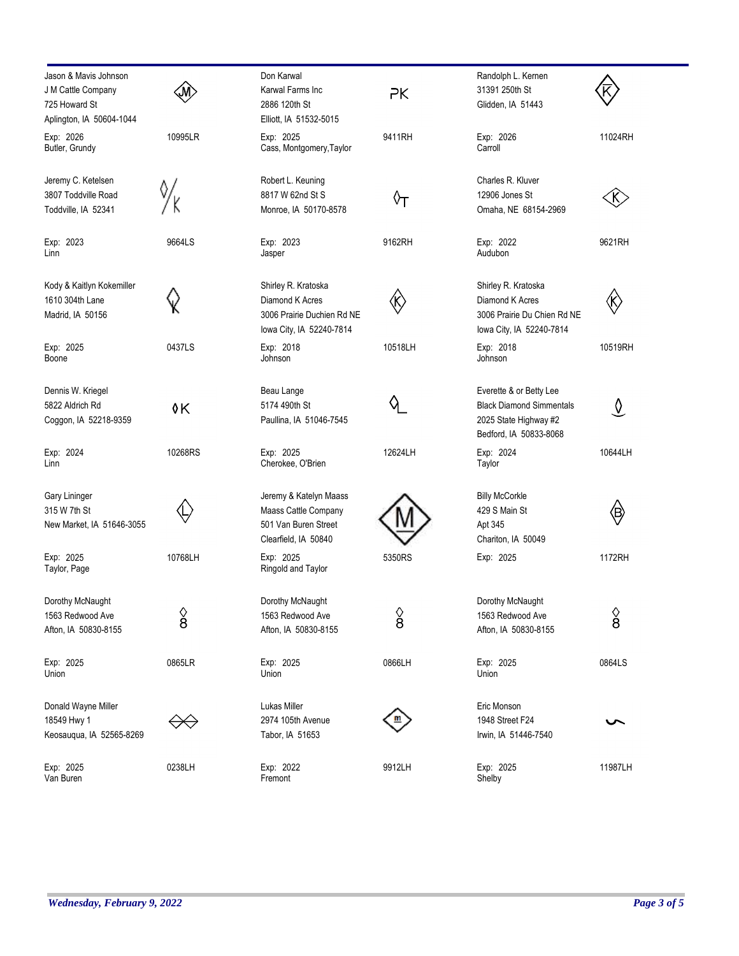| Jason & Mavis Johnson<br>J M Cattle Company<br>725 Howard St<br>Aplington, IA 50604-1044 |                      | Don Karwal<br>Karwal Farms Inc<br>2886 120th St<br>Elliott, IA 51532-5015                        | PK                            | Randolph L. Kernen<br>31391 250th St<br>Glidden, IA 51443                                                     |                               |
|------------------------------------------------------------------------------------------|----------------------|--------------------------------------------------------------------------------------------------|-------------------------------|---------------------------------------------------------------------------------------------------------------|-------------------------------|
| Exp: 2026<br>Butler, Grundy                                                              | 10995LR              | Exp: 2025<br>Cass, Montgomery, Taylor                                                            | 9411RH                        | Exp: 2026<br>Carroll                                                                                          | 11024RH                       |
| Jeremy C. Ketelsen<br>3807 Toddville Road<br>Toddville, IA 52341                         |                      | Robert L. Keuning<br>8817 W 62nd St S<br>Monroe, IA 50170-8578                                   | ᡐ᠇                            | Charles R. Kluver<br>12906 Jones St<br>Omaha, NE 68154-2969                                                   |                               |
| Exp: 2023<br>Linn                                                                        | 9664LS               | Exp: 2023<br>Jasper                                                                              | 9162RH                        | Exp: 2022<br>Audubon                                                                                          | 9621RH                        |
| Kody & Kaitlyn Kokemiller<br>1610 304th Lane<br>Madrid, IA 50156                         |                      | Shirley R. Kratoska<br>Diamond K Acres<br>3006 Prairie Duchien Rd NE<br>lowa City, IA 52240-7814 | 《K                            | Shirley R. Kratoska<br>Diamond K Acres<br>3006 Prairie Du Chien Rd NE<br>lowa City, IA 52240-7814             | K)                            |
| Exp: 2025<br>Boone                                                                       | 0437LS               | Exp: 2018<br>Johnson                                                                             | 10518LH                       | Exp: 2018<br>Johnson                                                                                          | 10519RH                       |
| Dennis W. Kriegel<br>5822 Aldrich Rd<br>Coggon, IA 52218-9359                            | 0K                   | Beau Lange<br>5174 490th St<br>Paullina, IA 51046-7545                                           |                               | Everette & or Betty Lee<br><b>Black Diamond Simmentals</b><br>2025 State Highway #2<br>Bedford, IA 50833-8068 | $\overline{\mathsf{V}}$       |
| Exp: 2024<br>Linn                                                                        | 10268RS              | Exp: 2025<br>Cherokee, O'Brien                                                                   | 12624LH                       | Exp: 2024<br>Taylor                                                                                           | 10644LH                       |
| <b>Gary Lininger</b><br>315 W 7th St<br>New Market, IA 51646-3055                        |                      | Jeremy & Katelyn Maass<br>Maass Cattle Company<br>501 Van Buren Street<br>Clearfield, IA 50840   |                               | <b>Billy McCorkle</b><br>429 S Main St<br>Apt 345<br>Chariton, IA 50049                                       | (Β)                           |
| Exp: 2025<br>Taylor, Page                                                                | 10768LH              | Exp: 2025<br>Ringold and Taylor                                                                  | 5350RS                        | Exp: 2025                                                                                                     | 1172RH                        |
| Dorothy McNaught<br>1563 Redwood Ave<br>Afton, IA 50830-8155                             | $\frac{\Diamond}{8}$ | Dorothy McNaught<br>1563 Redwood Ave<br>Afton, IA 50830-8155                                     | $\frac{\Diamond}{\mathbf{8}}$ | Dorothy McNaught<br>1563 Redwood Ave<br>Afton, IA 50830-8155                                                  | $\frac{\Diamond}{\mathbf{8}}$ |
| Exp: 2025<br>Union                                                                       | 0865LR               | Exp: 2025<br>Union                                                                               | 0866LH                        | Exp: 2025<br>Union                                                                                            | 0864LS                        |
| Donald Wayne Miller<br>18549 Hwy 1<br>Keosauqua, IA 52565-8269                           |                      | Lukas Miller<br>2974 105th Avenue<br>Tabor, IA 51653                                             |                               | Eric Monson<br>1948 Street F24<br>Irwin, IA 51446-7540                                                        |                               |
| Exp: 2025<br>Van Buren                                                                   | 0238LH               | Exp: 2022<br>Fremont                                                                             | 9912LH                        | Exp: 2025<br>Shelby                                                                                           | 11987LH                       |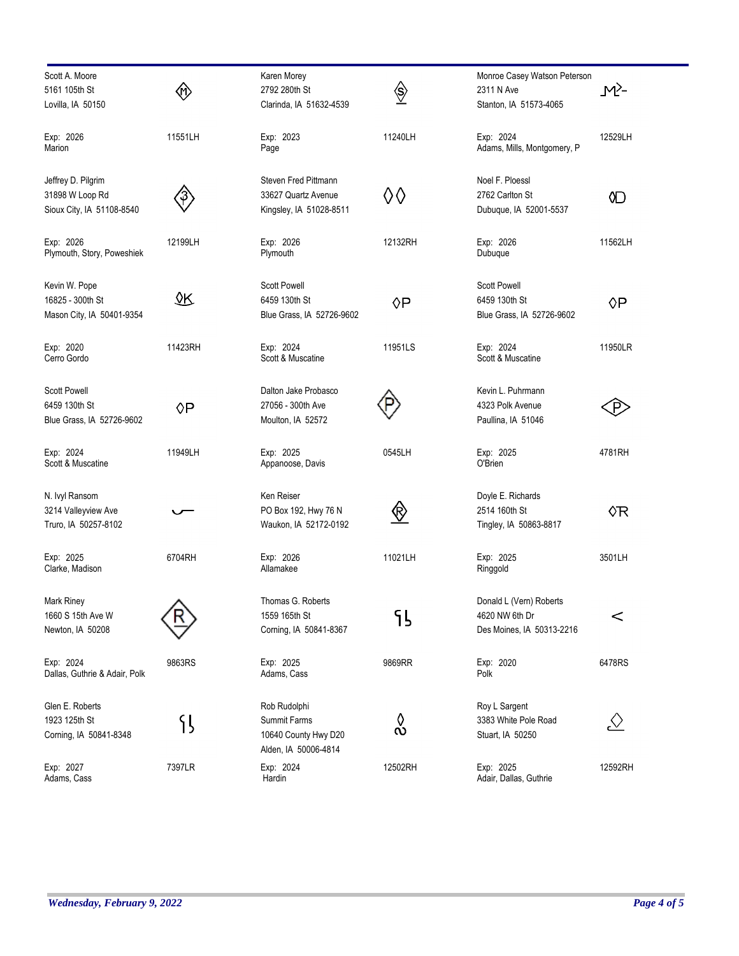| Scott A. Moore                |         | Karen Morey               |                | Monroe Casey Watson Peterson |                |
|-------------------------------|---------|---------------------------|----------------|------------------------------|----------------|
| 5161 105th St                 |         | 2792 280th St             |                | 2311 N Ave                   | _M}-           |
|                               | 伱       |                           | $\diamondsuit$ |                              |                |
| Lovilla, IA 50150             |         | Clarinda, IA 51632-4539   |                | Stanton, IA 51573-4065       |                |
| Exp: 2026                     | 11551LH | Exp: 2023                 | 11240LH        | Exp: 2024                    | 12529LH        |
| Marion                        |         | Page                      |                | Adams, Mills, Montgomery, P  |                |
| Jeffrey D. Pilgrim            |         | Steven Fred Pittmann      |                | Noel F. Ploessl              |                |
|                               |         |                           |                |                              |                |
| 31898 W Loop Rd               |         | 33627 Quartz Avenue       | ♦♦             | 2762 Carlton St              | 0D             |
| Sioux City, IA 51108-8540     |         | Kingsley, IA 51028-8511   |                | Dubuque, IA 52001-5537       |                |
| Exp: 2026                     | 12199LH | Exp: 2026                 | 12132RH        | Exp: 2026                    | 11562LH        |
| Plymouth, Story, Poweshiek    |         | Plymouth                  |                | Dubuque                      |                |
| Kevin W. Pope                 |         | <b>Scott Powell</b>       |                | <b>Scott Powell</b>          |                |
|                               | ΔΚ      |                           |                |                              |                |
| 16825 - 300th St              |         | 6459 130th St             | $\Diamond P$   | 6459 130th St                | ◊P             |
| Mason City, IA 50401-9354     |         | Blue Grass, IA 52726-9602 |                | Blue Grass, IA 52726-9602    |                |
| Exp: 2020                     | 11423RH | Exp: 2024                 | 11951LS        | Exp: 2024                    | 11950LR        |
| Cerro Gordo                   |         | Scott & Muscatine         |                | Scott & Muscatine            |                |
| <b>Scott Powell</b>           |         | Dalton Jake Probasco      |                | Kevin L. Puhrmann            |                |
| 6459 130th St                 |         | 27056 - 300th Ave         |                | 4323 Polk Avenue             |                |
|                               | ◊P      |                           |                |                              | .P             |
| Blue Grass, IA 52726-9602     |         | Moulton, IA 52572         |                | Paullina, IA 51046           |                |
| Exp: 2024                     | 11949LH | Exp: 2025                 | 0545LH         | Exp: 2025                    | 4781RH         |
| Scott & Muscatine             |         | Appanoose, Davis          |                | O'Brien                      |                |
| N. Ivyl Ransom                |         | Ken Reiser                |                | Doyle E. Richards            |                |
| 3214 Valleyview Ave           |         | PO Box 192, Hwy 76 N      |                | 2514 160th St                | ◊R             |
|                               |         |                           | $\bigotimes$   |                              |                |
| Truro, IA 50257-8102          |         | Waukon, IA 52172-0192     |                | Tingley, IA 50863-8817       |                |
| Exp: 2025                     | 6704RH  | Exp: 2026                 | 11021LH        | Exp: 2025                    | 3501LH         |
| Clarke, Madison               |         | Allamakee                 |                | Ringgold                     |                |
| Mark Riney                    |         | Thomas G. Roberts         |                | Donald L (Vern) Roberts      |                |
| 1660 S 15th Ave W             |         | 1559 165th St             | ՟ն             | 4620 NW 6th Dr               | $\,<$          |
| Newton, IA 50208              |         | Corning, IA 50841-8367    |                | Des Moines, IA 50313-2216    |                |
|                               |         |                           |                |                              |                |
| Exp: 2024                     | 9863RS  | Exp: 2025                 | 9869RR         | Exp: 2020                    | 6478RS         |
| Dallas, Guthrie & Adair, Polk |         | Adams, Cass               |                | Polk                         |                |
| Glen E. Roberts               |         | Rob Rudolphi              |                | Roy L Sargent                |                |
| 1923 125th St                 |         | Summit Farms              | ◊              | 3383 White Pole Road         |                |
|                               | 引       |                           | $\infty$       |                              | $\vartriangle$ |
| Corning, IA 50841-8348        |         | 10640 County Hwy D20      |                | Stuart, IA 50250             |                |
|                               |         | Alden, IA 50006-4814      |                |                              |                |
| Exp: 2027                     | 7397LR  | Exp: 2024                 | 12502RH        | Exp: 2025                    | 12592RH        |
| Adams, Cass                   |         | Hardin                    |                | Adair, Dallas, Guthrie       |                |